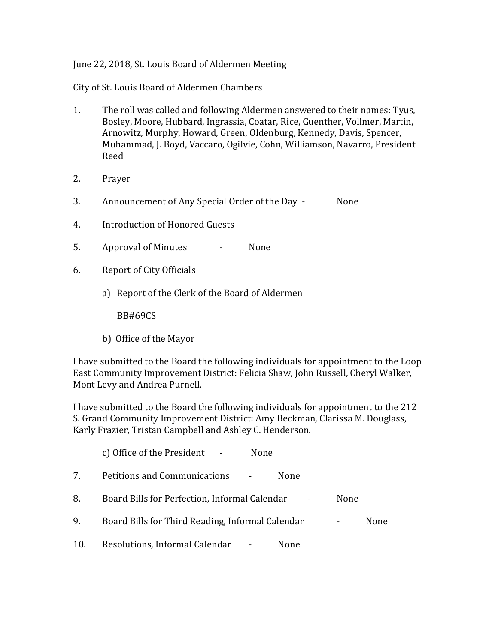#### June 22, 2018, St. Louis Board of Aldermen Meeting

City of St. Louis Board of Aldermen Chambers

- 1. The roll was called and following Aldermen answered to their names: Tyus, Bosley, Moore, Hubbard, Ingrassia, Coatar, Rice, Guenther, Vollmer, Martin, Arnowitz, Murphy, Howard, Green, Oldenburg, Kennedy, Davis, Spencer, Muhammad, J. Boyd, Vaccaro, Ogilvie, Cohn, Williamson, Navarro, President Reed
- 2. Prayer
- 3. Announcement of Any Special Order of the Day None
- 4. Introduction of Honored Guests
- 5. Approval of Minutes None
- 6. Report of City Officials
	- a) Report of the Clerk of the Board of Aldermen

BB#69CS

b) Office of the Mayor

I have submitted to the Board the following individuals for appointment to the Loop East Community Improvement District: Felicia Shaw, John Russell, Cheryl Walker, Mont Levy and Andrea Purnell.

I have submitted to the Board the following individuals for appointment to the 212 S. Grand Community Improvement District: Amy Beckman, Clarissa M. Douglass, Karly Frazier, Tristan Campbell and Ashley C. Henderson.

|     | c) Office of the President -<br>None             |      |      |
|-----|--------------------------------------------------|------|------|
| 7.  | Petitions and Communications<br>None             |      |      |
| 8.  | Board Bills for Perfection, Informal Calendar    | None |      |
| 9.  | Board Bills for Third Reading, Informal Calendar |      | None |
| 10. | Resolutions, Informal Calendar -<br>None         |      |      |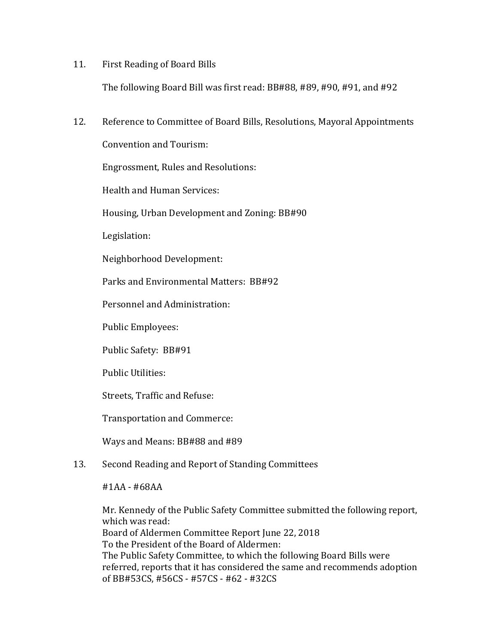#### 11. First Reading of Board Bills

The following Board Bill was first read: BB#88, #89, #90, #91, and #92

12. Reference to Committee of Board Bills, Resolutions, Mayoral Appointments

Convention and Tourism:

Engrossment, Rules and Resolutions:

Health and Human Services:

Housing, Urban Development and Zoning: BB#90

Legislation:

Neighborhood Development:

Parks and Environmental Matters: BB#92

Personnel and Administration:

Public Employees:

Public Safety: BB#91

Public Utilities:

Streets, Traffic and Refuse:

Transportation and Commerce:

Ways and Means: BB#88 and #89

## 13. Second Reading and Report of Standing Committees

#1AA - #68AA

Mr. Kennedy of the Public Safety Committee submitted the following report, which was read: Board of Aldermen Committee Report June 22, 2018 To the President of the Board of Aldermen: The Public Safety Committee, to which the following Board Bills were referred, reports that it has considered the same and recommends adoption of BB#53CS, #56CS - #57CS - #62 - #32CS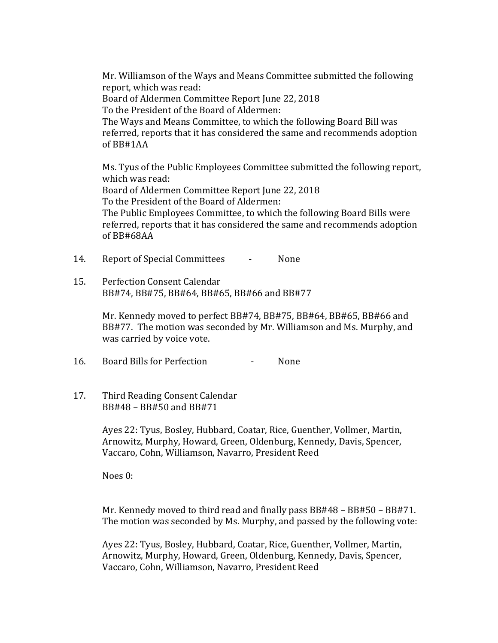Mr. Williamson of the Ways and Means Committee submitted the following report, which was read: Board of Aldermen Committee Report June 22, 2018 To the President of the Board of Aldermen: The Ways and Means Committee, to which the following Board Bill was referred, reports that it has considered the same and recommends adoption of BB#1AA

Ms. Tyus of the Public Employees Committee submitted the following report, which was read: Board of Aldermen Committee Report June 22, 2018 To the President of the Board of Aldermen: The Public Employees Committee, to which the following Board Bills were referred, reports that it has considered the same and recommends adoption of BB#68AA

14. Report of Special Committees - None

15. Perfection Consent Calendar BB#74, BB#75, BB#64, BB#65, BB#66 and BB#77

> Mr. Kennedy moved to perfect BB#74, BB#75, BB#64, BB#65, BB#66 and BB#77. The motion was seconded by Mr. Williamson and Ms. Murphy, and was carried by voice vote.

16. Board Bills for Perfection - None

17. Third Reading Consent Calendar BB#48 – BB#50 and BB#71

> Ayes 22: Tyus, Bosley, Hubbard, Coatar, Rice, Guenther, Vollmer, Martin, Arnowitz, Murphy, Howard, Green, Oldenburg, Kennedy, Davis, Spencer, Vaccaro, Cohn, Williamson, Navarro, President Reed

Noes 0:

Mr. Kennedy moved to third read and finally pass BB#48 – BB#50 – BB#71. The motion was seconded by Ms. Murphy, and passed by the following vote:

Ayes 22: Tyus, Bosley, Hubbard, Coatar, Rice, Guenther, Vollmer, Martin, Arnowitz, Murphy, Howard, Green, Oldenburg, Kennedy, Davis, Spencer, Vaccaro, Cohn, Williamson, Navarro, President Reed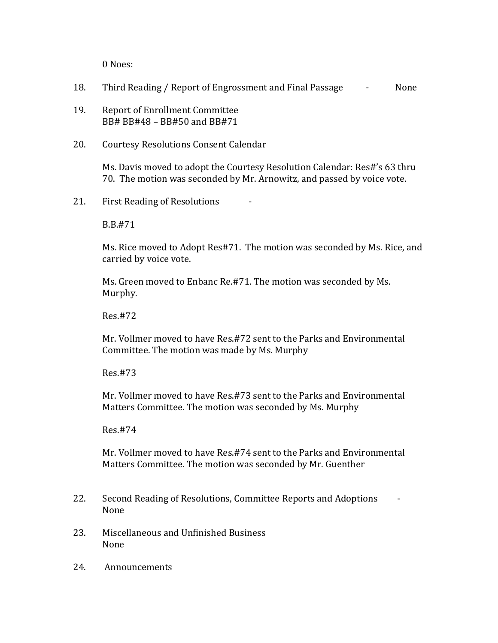0 Noes:

- 18. Third Reading / Report of Engrossment and Final Passage **-** None
- 19. Report of Enrollment Committee BB# BB#48 – BB#50 and BB#71
- 20. Courtesy Resolutions Consent Calendar

Ms. Davis moved to adopt the Courtesy Resolution Calendar: Res#'s 63 thru 70. The motion was seconded by Mr. Arnowitz, and passed by voice vote.

21. First Reading of Resolutions

B.B.#71

Ms. Rice moved to Adopt Res#71. The motion was seconded by Ms. Rice, and carried by voice vote.

Ms. Green moved to Enbanc Re.#71. The motion was seconded by Ms. Murphy.

Res.#72

Mr. Vollmer moved to have Res.#72 sent to the Parks and Environmental Committee. The motion was made by Ms. Murphy

Res.#73

Mr. Vollmer moved to have Res.#73 sent to the Parks and Environmental Matters Committee. The motion was seconded by Ms. Murphy

Res.#74

Mr. Vollmer moved to have Res.#74 sent to the Parks and Environmental Matters Committee. The motion was seconded by Mr. Guenther

- 22. Second Reading of Resolutions, Committee Reports and Adoptions None
- 23. Miscellaneous and Unfinished Business None
- 24. Announcements